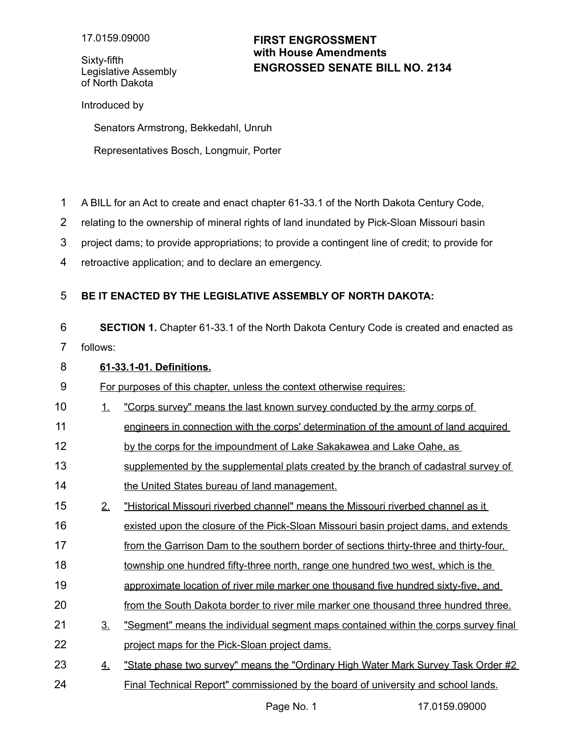Sixty-fifth Legislative Assembly of North Dakota

# **ENGROSSED SENATE BILL NO. 2134 FIRST ENGROSSMENT with House Amendments**

Introduced by

Senators Armstrong, Bekkedahl, Unruh

Representatives Bosch, Longmuir, Porter

- A BILL for an Act to create and enact chapter 61-33.1 of the North Dakota Century Code, 1
- relating to the ownership of mineral rights of land inundated by Pick-Sloan Missouri basin 2
- project dams; to provide appropriations; to provide a contingent line of credit; to provide for 3
- retroactive application; and to declare an emergency. 4

#### **BE IT ENACTED BY THE LEGISLATIVE ASSEMBLY OF NORTH DAKOTA:** 5

**SECTION 1.** Chapter 61-33.1 of the North Dakota Century Code is created and enacted as follows: 6 7

### **61 - 33.1-01. Definitions.** 8

For purposes of this chapter, unless the context otherwise requires: 9

- 1. "Corps survey" means the last known survey conducted by the army corps of 10
- engineers in connection with the corps' determination of the amount of land acquired 11
- by the corps for the impoundment of Lake Sakakawea and Lake Oahe, as 12
- supplemented by the supplemental plats created by the branch of cadastral survey of the United States bureau of land management. 13 14
- 2. "Historical Missouri riverbed channel" means the Missouri riverbed channel as it 15
- existed upon the closure of the Pick-Sloan Missouri basin project dams, and extends 16
- from the Garrison Dam to the southern border of sections thirty-three and thirty-four, 17
- township one hundred fifty-three north, range one hundred two west, which is the 18
- approximate location of river mile marker one thousand five hundred sixty-five, and 19
- from the South Dakota border to river mile marker one thousand three hundred three. 20
- 3. "Segment" means the individual segment maps contained within the corps survey final project maps for the Pick-Sloan project dams. 21 22
- 4. "State phase two survey" means the "Ordinary High Water Mark Survey Task Order #2 Final Technical Report" commissioned by the board of university and school lands. 23 24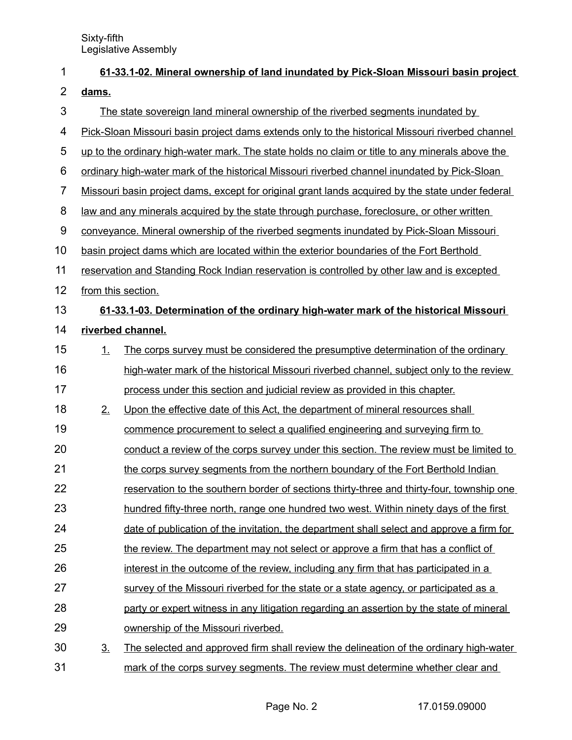| 1              |                                                                                             | 61-33.1-02. Mineral ownership of land inundated by Pick-Sloan Missouri basin project             |  |  |  |
|----------------|---------------------------------------------------------------------------------------------|--------------------------------------------------------------------------------------------------|--|--|--|
| $\overline{2}$ | dams.                                                                                       |                                                                                                  |  |  |  |
| 3              |                                                                                             | The state sovereign land mineral ownership of the riverbed segments inundated by                 |  |  |  |
| 4              |                                                                                             | Pick-Sloan Missouri basin project dams extends only to the historical Missouri riverbed channel  |  |  |  |
| 5              |                                                                                             | up to the ordinary high-water mark. The state holds no claim or title to any minerals above the  |  |  |  |
| 6              |                                                                                             | ordinary high-water mark of the historical Missouri riverbed channel inundated by Pick-Sloan     |  |  |  |
| $\overline{7}$ |                                                                                             | Missouri basin project dams, except for original grant lands acquired by the state under federal |  |  |  |
| 8              |                                                                                             | law and any minerals acquired by the state through purchase, foreclosure, or other written       |  |  |  |
| 9              | conveyance. Mineral ownership of the riverbed segments inundated by Pick-Sloan Missouri     |                                                                                                  |  |  |  |
| 10             | basin project dams which are located within the exterior boundaries of the Fort Berthold    |                                                                                                  |  |  |  |
| 11             | reservation and Standing Rock Indian reservation is controlled by other law and is excepted |                                                                                                  |  |  |  |
| 12             |                                                                                             | from this section.                                                                               |  |  |  |
| 13             |                                                                                             | 61-33.1-03. Determination of the ordinary high-water mark of the historical Missouri             |  |  |  |
| 14             |                                                                                             | riverbed channel.                                                                                |  |  |  |
| 15             | 1.                                                                                          | The corps survey must be considered the presumptive determination of the ordinary                |  |  |  |
| 16             |                                                                                             | high-water mark of the historical Missouri riverbed channel, subject only to the review          |  |  |  |
| 17             |                                                                                             | process under this section and judicial review as provided in this chapter.                      |  |  |  |
| 18             | 2.                                                                                          | Upon the effective date of this Act, the department of mineral resources shall                   |  |  |  |
| 19             |                                                                                             | commence procurement to select a qualified engineering and surveying firm to                     |  |  |  |
| 20             |                                                                                             | conduct a review of the corps survey under this section. The review must be limited to           |  |  |  |
| 21             |                                                                                             | the corps survey segments from the northern boundary of the Fort Berthold Indian                 |  |  |  |
| 22             |                                                                                             | reservation to the southern border of sections thirty-three and thirty-four, township one        |  |  |  |
| 23             |                                                                                             | hundred fifty-three north, range one hundred two west. Within ninety days of the first           |  |  |  |
| 24             |                                                                                             | date of publication of the invitation, the department shall select and approve a firm for        |  |  |  |
| 25             |                                                                                             | the review. The department may not select or approve a firm that has a conflict of               |  |  |  |
| 26             |                                                                                             | interest in the outcome of the review, including any firm that has participated in a             |  |  |  |
| 27             |                                                                                             | survey of the Missouri riverbed for the state or a state agency, or participated as a            |  |  |  |
| 28             |                                                                                             | party or expert witness in any litigation regarding an assertion by the state of mineral         |  |  |  |
| 29             |                                                                                             | ownership of the Missouri riverbed.                                                              |  |  |  |
| 30             | 3 <sub>1</sub>                                                                              | The selected and approved firm shall review the delineation of the ordinary high-water           |  |  |  |
| 31             |                                                                                             | mark of the corps survey segments. The review must determine whether clear and                   |  |  |  |

Page No. 2 17.0159.09000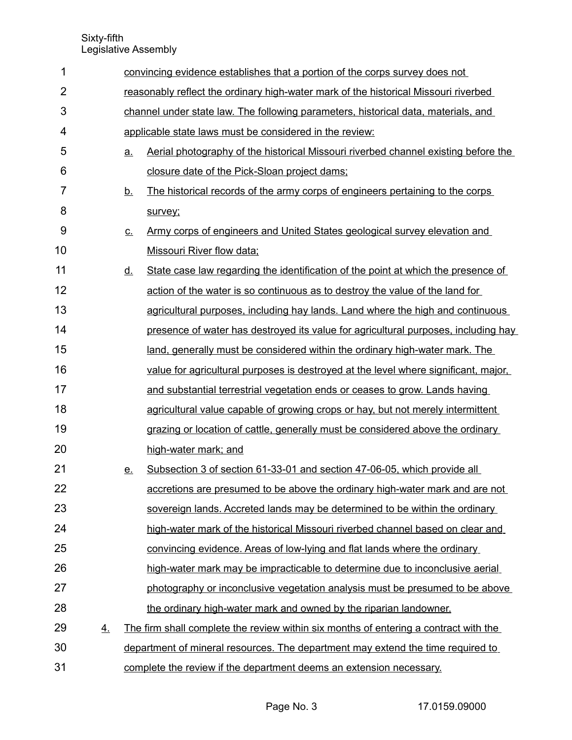| 1              |    | convincing evidence establishes that a portion of the corps survey does not         |                                                                                         |  |  |
|----------------|----|-------------------------------------------------------------------------------------|-----------------------------------------------------------------------------------------|--|--|
| $\overline{2}$ |    | reasonably reflect the ordinary high-water mark of the historical Missouri riverbed |                                                                                         |  |  |
| 3              |    |                                                                                     | channel under state law. The following parameters, historical data, materials, and      |  |  |
| $\overline{4}$ |    |                                                                                     | applicable state laws must be considered in the review:                                 |  |  |
| 5              |    | <u>a.</u>                                                                           | Aerial photography of the historical Missouri riverbed channel existing before the      |  |  |
| 6              |    |                                                                                     | closure date of the Pick-Sloan project dams;                                            |  |  |
| 7              |    | <u>b.</u>                                                                           | The historical records of the army corps of engineers pertaining to the corps           |  |  |
| 8              |    |                                                                                     | survey;                                                                                 |  |  |
| 9              |    | <u>c.</u>                                                                           | Army corps of engineers and United States geological survey elevation and               |  |  |
| 10             |    |                                                                                     | Missouri River flow data;                                                               |  |  |
| 11             |    | <u>d.</u>                                                                           | State case law regarding the identification of the point at which the presence of       |  |  |
| 12             |    |                                                                                     | action of the water is so continuous as to destroy the value of the land for            |  |  |
| 13             |    |                                                                                     | agricultural purposes, including hay lands. Land where the high and continuous          |  |  |
| 14             |    |                                                                                     | presence of water has destroyed its value for agricultural purposes, including hay      |  |  |
| 15             |    |                                                                                     | <u>land, generally must be considered within the ordinary high-water mark. The land</u> |  |  |
| 16             |    |                                                                                     | value for agricultural purposes is destroyed at the level where significant, major,     |  |  |
| 17             |    |                                                                                     | and substantial terrestrial vegetation ends or ceases to grow. Lands having             |  |  |
| 18             |    |                                                                                     | agricultural value capable of growing crops or hay, but not merely intermittent         |  |  |
| 19             |    |                                                                                     | grazing or location of cattle, generally must be considered above the ordinary          |  |  |
| 20             |    |                                                                                     | high-water mark; and                                                                    |  |  |
| 21             |    | <u>e.</u>                                                                           | Subsection 3 of section 61-33-01 and section 47-06-05, which provide all                |  |  |
| 22             |    |                                                                                     | accretions are presumed to be above the ordinary high-water mark and are not            |  |  |
| 23             |    |                                                                                     | sovereign lands. Accreted lands may be determined to be within the ordinary             |  |  |
| 24             |    |                                                                                     | high-water mark of the historical Missouri riverbed channel based on clear and          |  |  |
| 25             |    |                                                                                     | convincing evidence. Areas of low-lying and flat lands where the ordinary               |  |  |
| 26             |    |                                                                                     | high-water mark may be impracticable to determine due to inconclusive aerial            |  |  |
| 27             |    |                                                                                     | photography or inconclusive vegetation analysis must be presumed to be above            |  |  |
| 28             |    |                                                                                     | the ordinary high-water mark and owned by the riparian landowner.                       |  |  |
| 29             | 4. |                                                                                     | The firm shall complete the review within six months of entering a contract with the    |  |  |
| 30             |    |                                                                                     | department of mineral resources. The department may extend the time required to         |  |  |
| 31             |    |                                                                                     | complete the review if the department deems an extension necessary.                     |  |  |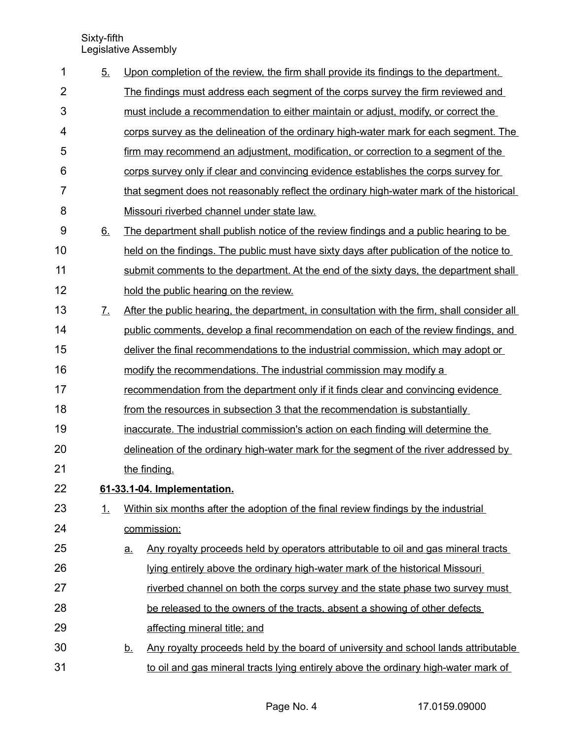| 1              | 5 <sub>1</sub>        |                             | Upon completion of the review, the firm shall provide its findings to the department.       |  |
|----------------|-----------------------|-----------------------------|---------------------------------------------------------------------------------------------|--|
| $\overline{2}$ |                       |                             | The findings must address each segment of the corps survey the firm reviewed and            |  |
| 3              |                       |                             | must include a recommendation to either maintain or adjust, modify, or correct the          |  |
| 4              |                       |                             | corps survey as the delineation of the ordinary high-water mark for each segment. The       |  |
| 5              |                       |                             | firm may recommend an adjustment, modification, or correction to a segment of the           |  |
| 6              |                       |                             | corps survey only if clear and convincing evidence establishes the corps survey for         |  |
| 7              |                       |                             | that segment does not reasonably reflect the ordinary high-water mark of the historical     |  |
| 8              |                       |                             | Missouri riverbed channel under state law.                                                  |  |
| 9              | 6.                    |                             | The department shall publish notice of the review findings and a public hearing to be       |  |
| 10             |                       |                             | held on the findings. The public must have sixty days after publication of the notice to    |  |
| 11             |                       |                             | submit comments to the department. At the end of the sixty days, the department shall       |  |
| 12             |                       |                             | hold the public hearing on the review.                                                      |  |
| 13             | $\mathcal{I}_{\cdot}$ |                             | After the public hearing, the department, in consultation with the firm, shall consider all |  |
| 14             |                       |                             | public comments, develop a final recommendation on each of the review findings, and         |  |
| 15             |                       |                             | deliver the final recommendations to the industrial commission, which may adopt or          |  |
| 16             |                       |                             | modify the recommendations. The industrial commission may modify a                          |  |
| 17             |                       |                             | recommendation from the department only if it finds clear and convincing evidence           |  |
| 18             |                       |                             | from the resources in subsection 3 that the recommendation is substantially                 |  |
| 19             |                       |                             | inaccurate. The industrial commission's action on each finding will determine the           |  |
| 20             |                       |                             | delineation of the ordinary high-water mark for the segment of the river addressed by       |  |
| 21             |                       |                             | the finding.                                                                                |  |
| 22             |                       | 61-33.1-04. Implementation. |                                                                                             |  |
| 23             | 1.                    |                             | Within six months after the adoption of the final review findings by the industrial         |  |
| 24             |                       |                             | commission:                                                                                 |  |
| 25             |                       | $\underline{a}$ .           | Any royalty proceeds held by operators attributable to oil and gas mineral tracts           |  |
| 26             |                       |                             | lying entirely above the ordinary high-water mark of the historical Missouri                |  |
| 27             |                       |                             | riverbed channel on both the corps survey and the state phase two survey must               |  |
| 28             |                       |                             | be released to the owners of the tracts, absent a showing of other defects                  |  |
| 29             |                       |                             | affecting mineral title; and                                                                |  |
| 30             |                       | <u>b.</u>                   | Any royalty proceeds held by the board of university and school lands attributable          |  |
| 31             |                       |                             | to oil and gas mineral tracts lying entirely above the ordinary high-water mark of          |  |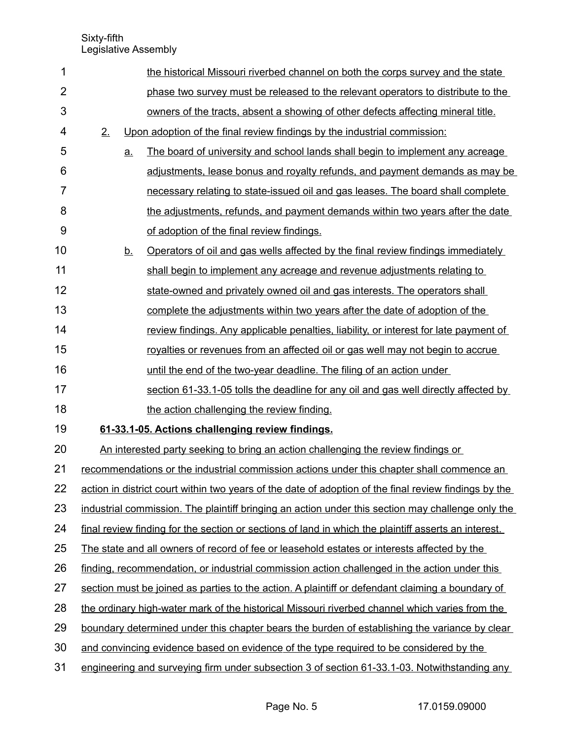| 1              |    |           | the historical Missouri riverbed channel on both the corps survey and the state                       |
|----------------|----|-----------|-------------------------------------------------------------------------------------------------------|
| $\overline{2}$ |    |           | phase two survey must be released to the relevant operators to distribute to the                      |
| 3              |    |           | owners of the tracts, absent a showing of other defects affecting mineral title.                      |
| 4              | 2. |           | Upon adoption of the final review findings by the industrial commission:                              |
| 5              |    | a.        | The board of university and school lands shall begin to implement any acreage                         |
| 6              |    |           | adjustments, lease bonus and royalty refunds, and payment demands as may be                           |
| 7              |    |           | necessary relating to state-issued oil and gas leases. The board shall complete                       |
| 8              |    |           | the adjustments, refunds, and payment demands within two years after the date                         |
| 9              |    |           | of adoption of the final review findings.                                                             |
| 10             |    | <u>b.</u> | Operators of oil and gas wells affected by the final review findings immediately                      |
| 11             |    |           | shall begin to implement any acreage and revenue adjustments relating to                              |
| 12             |    |           | state-owned and privately owned oil and gas interests. The operators shall                            |
| 13             |    |           | complete the adjustments within two years after the date of adoption of the                           |
| 14             |    |           | review findings. Any applicable penalties, liability, or interest for late payment of                 |
| 15             |    |           | royalties or revenues from an affected oil or gas well may not begin to accrue                        |
| 16             |    |           | until the end of the two-year deadline. The filing of an action under                                 |
| 17             |    |           | section 61-33.1-05 tolls the deadline for any oil and gas well directly affected by                   |
| 18             |    |           | the action challenging the review finding.                                                            |
| 19             |    |           | 61-33.1-05. Actions challenging review findings.                                                      |
| 20             |    |           | An interested party seeking to bring an action challenging the review findings or                     |
| 21             |    |           | recommendations or the industrial commission actions under this chapter shall commence an             |
| 22             |    |           | action in district court within two years of the date of adoption of the final review findings by the |
| 23             |    |           | industrial commission. The plaintiff bringing an action under this section may challenge only the     |
| 24             |    |           | final review finding for the section or sections of land in which the plaintiff asserts an interest.  |
| 25             |    |           | The state and all owners of record of fee or leasehold estates or interests affected by the           |
| 26             |    |           | finding, recommendation, or industrial commission action challenged in the action under this          |
| 27             |    |           | section must be joined as parties to the action. A plaintiff or defendant claiming a boundary of      |
| 28             |    |           | the ordinary high-water mark of the historical Missouri riverbed channel which varies from the        |
| 29             |    |           | boundary determined under this chapter bears the burden of establishing the variance by clear         |
| 30             |    |           | and convincing evidence based on evidence of the type required to be considered by the                |
|                |    |           |                                                                                                       |

engineering and surveying firm under subsection 3 of section 61-33.1-03. Notwithstanding any 31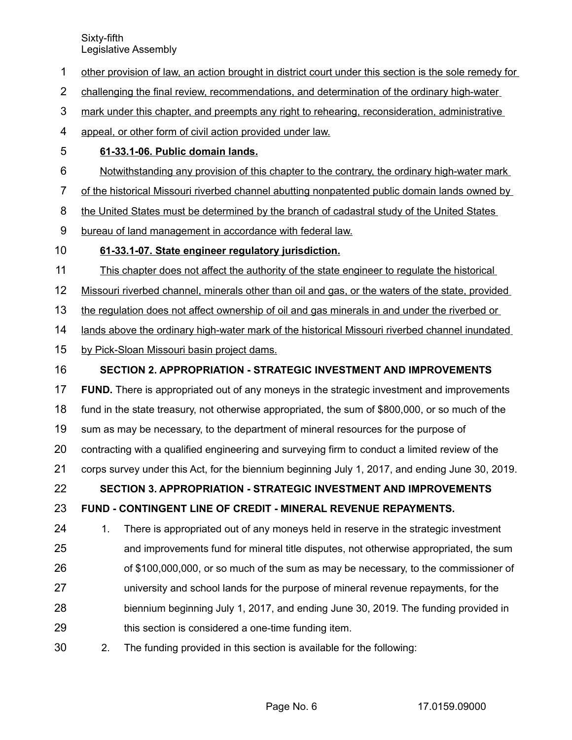- other provision of law, an action brought in district court under this section is the sole remedy for 1
- challenging the final review, recommendations, and determination of the ordinary high-water 2
- mark under this chapter, and preempts any right to rehearing, reconsideration, administrative 3
- appeal, or other form of civil action provided under law. 4
- **61-33.1-06. Public domain lands.** 5
- Notwithstanding any provision of this chapter to the contrary, the ordinary high-water mark 6
- of the historical Missouri riverbed channel abutting nonpatented public domain lands owned by 7
- the United States must be determined by the branch of cadastral study of the United States 8
- bureau of land management in accordance with federal law. 9

#### **61-33.1-07. State engineer regulatory jurisdiction.** 10

- This chapter does not affect the authority of the state engineer to regulate the historical 11
- Missouri riverbed channel, minerals other than oil and gas, or the waters of the state, provided 12
- the regulation does not affect ownership of oil and gas minerals in and under the riverbed or 13
- lands above the ordinary high-water mark of the historical Missouri riverbed channel inundated 14
- by Pick-Sloan Missouri basin project dams. 15

#### **SECTION 2. APPROPRIATION - STRATEGIC INVESTMENT AND IMPROVEMENTS** 16

- **FUND.** There is appropriated out of any moneys in the strategic investment and improvements 17
- fund in the state treasury, not otherwise appropriated, the sum of \$800,000, or so much of the 18
- sum as may be necessary, to the department of mineral resources for the purpose of 19
- contracting with a qualified engineering and surveying firm to conduct a limited review of the 20
- corps survey under this Act, for the biennium beginning July 1, 2017, and ending June 30, 2019. 21

## **SECTION 3. APPROPRIATION - STRATEGIC INVESTMENT AND IMPROVEMENTS** 22

#### **FUND - CONTINGENT LINE OF CREDIT - MINERAL REVENUE REPAYMENTS.**  23

- 1. There is appropriated out of any moneys held in reserve in the strategic investment and improvements fund for mineral title disputes, not otherwise appropriated, the sum of \$100,000,000, or so much of the sum as may be necessary, to the commissioner of university and school lands for the purpose of mineral revenue repayments, for the 24 25 26 27
- biennium beginning July 1, 2017, and ending June 30, 2019. The funding provided in this section is considered a one-time funding item. 28 29
- 2. The funding provided in this section is available for the following: 30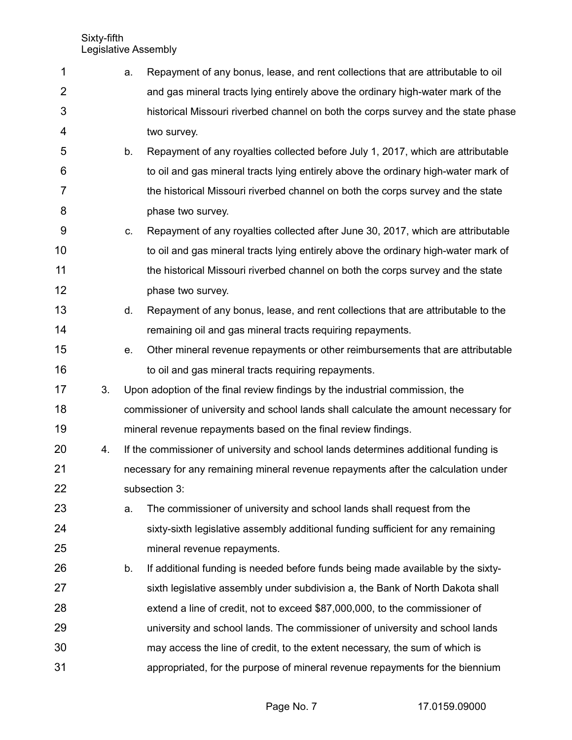| 1              |    | а. | Repayment of any bonus, lease, and rent collections that are attributable to oil     |
|----------------|----|----|--------------------------------------------------------------------------------------|
| $\overline{2}$ |    |    | and gas mineral tracts lying entirely above the ordinary high-water mark of the      |
| 3              |    |    | historical Missouri riverbed channel on both the corps survey and the state phase    |
| 4              |    |    | two survey.                                                                          |
| 5              |    | b. | Repayment of any royalties collected before July 1, 2017, which are attributable     |
| 6              |    |    | to oil and gas mineral tracts lying entirely above the ordinary high-water mark of   |
| $\overline{7}$ |    |    | the historical Missouri riverbed channel on both the corps survey and the state      |
| 8              |    |    | phase two survey.                                                                    |
| 9              |    | C. | Repayment of any royalties collected after June 30, 2017, which are attributable     |
| 10             |    |    | to oil and gas mineral tracts lying entirely above the ordinary high-water mark of   |
| 11             |    |    | the historical Missouri riverbed channel on both the corps survey and the state      |
| 12             |    |    | phase two survey.                                                                    |
| 13             |    | d. | Repayment of any bonus, lease, and rent collections that are attributable to the     |
| 14             |    |    | remaining oil and gas mineral tracts requiring repayments.                           |
| 15             |    | е. | Other mineral revenue repayments or other reimbursements that are attributable       |
| 16             |    |    | to oil and gas mineral tracts requiring repayments.                                  |
| 17             | 3. |    | Upon adoption of the final review findings by the industrial commission, the         |
| 18             |    |    | commissioner of university and school lands shall calculate the amount necessary for |
| 19             |    |    | mineral revenue repayments based on the final review findings.                       |
| 20             | 4. |    | If the commissioner of university and school lands determines additional funding is  |
| 21             |    |    | necessary for any remaining mineral revenue repayments after the calculation under   |
| 22             |    |    | subsection 3:                                                                        |
| 23             |    | a. | The commissioner of university and school lands shall request from the               |
| 24             |    |    | sixty-sixth legislative assembly additional funding sufficient for any remaining     |
| 25             |    |    | mineral revenue repayments.                                                          |
| 26             |    | b. | If additional funding is needed before funds being made available by the sixty-      |
| 27             |    |    | sixth legislative assembly under subdivision a, the Bank of North Dakota shall       |
| 28             |    |    | extend a line of credit, not to exceed \$87,000,000, to the commissioner of          |
| 29             |    |    | university and school lands. The commissioner of university and school lands         |
| 30             |    |    | may access the line of credit, to the extent necessary, the sum of which is          |
| 31             |    |    | appropriated, for the purpose of mineral revenue repayments for the biennium         |